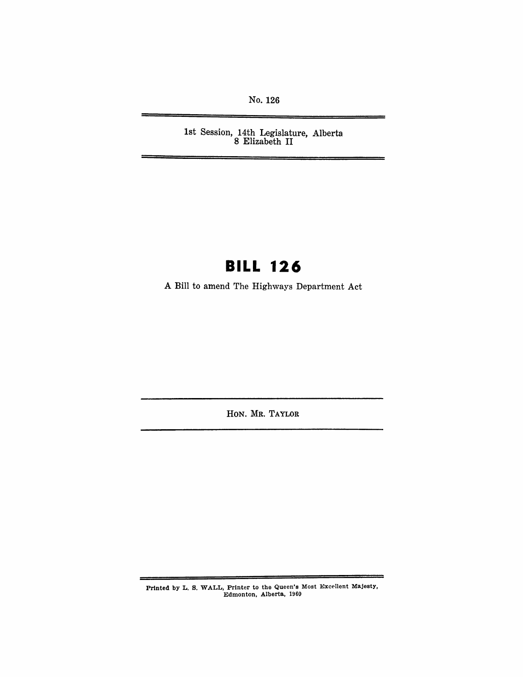No. 126

1st Session, 14th Legislature, Alberta 8 Elizabeth II

## **BILL 126**

A Bill to amend The Highways Department Act

HON. MR. TAYLOR

Printed by L. S. WALL, Printer to the Queen's Most Excellent Majesty, Edmonton, Alberta, 1960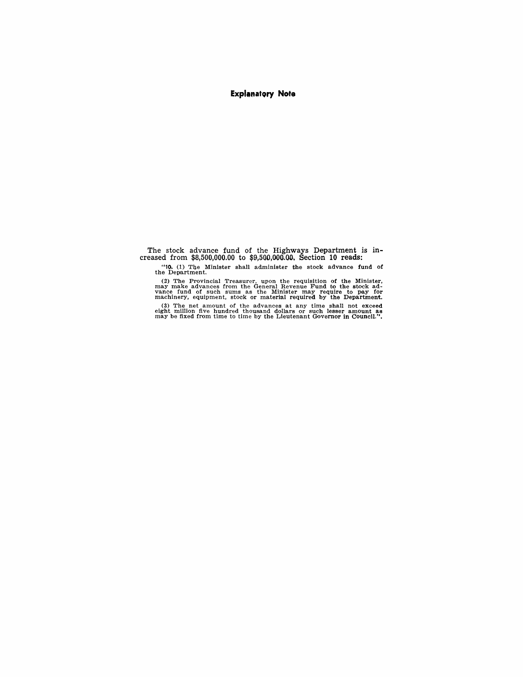#### **Explanatory Note**

The stock advance fund of the Highways Department is increased from \$8,5.00,000.00 to \$9,500,OOa.OD·, Section **10** reads:

"10. (1) Tbe Minister shall administer the stock advance fund of the Department.

(2) The Provincial Treasurer, upon the requisition of the Minister, may make advances from the General Revenue Fund to the stock ad-<br>vance fund of such sums as the Minister may require to pay for<br>machinery, equipment, stoc

(3) The net amount of the advances at any time shall not exceed eight million five hundred thousand dollars or such lesser amount as may be fixed from time to time by the Lieutenant Governor in Council.".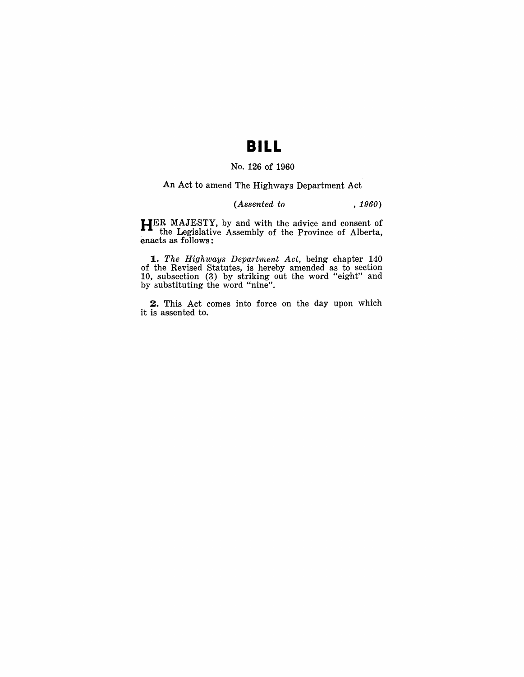### **BILL**

#### No. 126 of 1960

An Act to amend The Highways Department Act

### *(Assented to , 1960)*

HER MAJESTY, by and with the advice and consent of the Legislative Assembly of the Province of Alberta, enacts as follows:

*1. The Highways Department Act,* being chapter 140 of the Revised Statutes, is herehy amended as to section 10, subsection (3) by striking out the word "eight" and by substituting the word "nine".

2. This Act comes into force on the day upon which it is assented to.